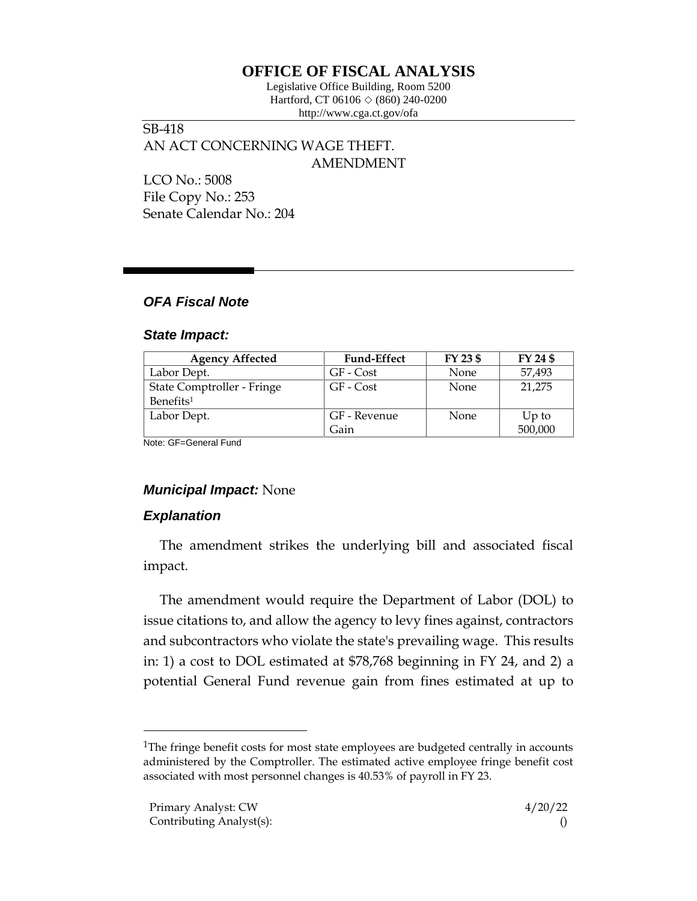# **OFFICE OF FISCAL ANALYSIS**

Legislative Office Building, Room 5200 Hartford, CT 06106  $\Diamond$  (860) 240-0200 http://www.cga.ct.gov/ofa

SB-418 AN ACT CONCERNING WAGE THEFT. AMENDMENT

LCO No.: 5008 File Copy No.: 253 Senate Calendar No.: 204

## *OFA Fiscal Note*

#### *State Impact:*

| <b>Agency Affected</b>     | <b>Fund-Effect</b> | FY 23 \$ | FY 24 \$ |
|----------------------------|--------------------|----------|----------|
| Labor Dept.                | GF - Cost          | None     | 57,493   |
| State Comptroller - Fringe | GF - Cost          | None     | 21,275   |
| Benefits <sup>1</sup>      |                    |          |          |
| Labor Dept.                | GF - Revenue       | None     | $Up$ to  |
|                            | Gain               |          | 500,000  |

Note: GF=General Fund

## *Municipal Impact:* None

## *Explanation*

The amendment strikes the underlying bill and associated fiscal impact.

The amendment would require the Department of Labor (DOL) to issue citations to, and allow the agency to levy fines against, contractors and subcontractors who violate the state's prevailing wage. This results in: 1) a cost to DOL estimated at \$78,768 beginning in FY 24, and 2) a potential General Fund revenue gain from fines estimated at up to

<sup>&</sup>lt;sup>1</sup>The fringe benefit costs for most state employees are budgeted centrally in accounts administered by the Comptroller. The estimated active employee fringe benefit cost associated with most personnel changes is 40.53% of payroll in FY 23.